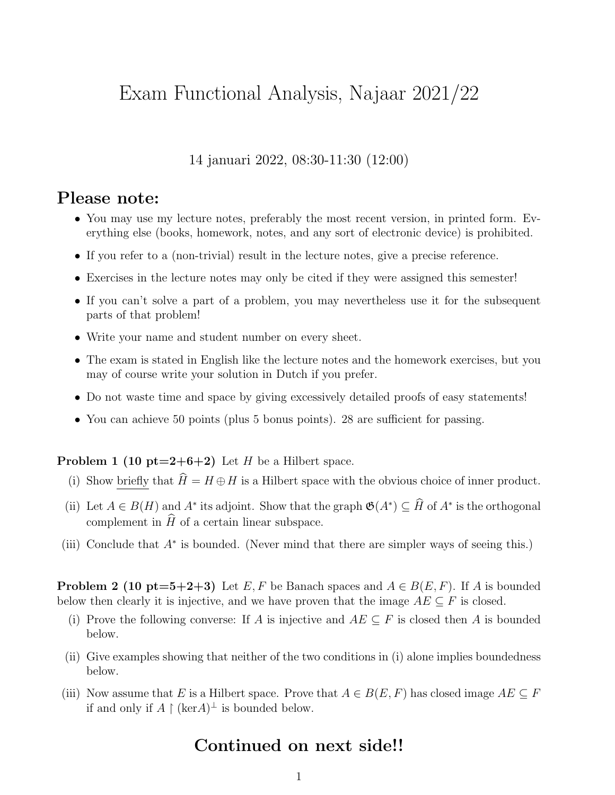## Exam Functional Analysis, Najaar 2021/22

14 januari 2022, 08:30-11:30 (12:00)

## Please note:

- You may use my lecture notes, preferably the most recent version, in printed form. Everything else (books, homework, notes, and any sort of electronic device) is prohibited.
- If you refer to a (non-trivial) result in the lecture notes, give a precise reference.
- Exercises in the lecture notes may only be cited if they were assigned this semester!
- If you can't solve a part of a problem, you may nevertheless use it for the subsequent parts of that problem!
- Write your name and student number on every sheet.
- The exam is stated in English like the lecture notes and the homework exercises, but you may of course write your solution in Dutch if you prefer.
- Do not waste time and space by giving excessively detailed proofs of easy statements!
- You can achieve 50 points (plus 5 bonus points). 28 are sufficient for passing.

**Problem 1 (10 pt=2+6+2)** Let H be a Hilbert space.

- (i) Show briefly that  $\widehat{H} = H \oplus H$  is a Hilbert space with the obvious choice of inner product.
- (ii) Let  $A \in B(H)$  and  $A^*$  its adjoint. Show that the graph  $\mathfrak{G}(A^*) \subseteq \widehat{H}$  of  $A^*$  is the orthogonal complement in  $\hat{H}$  of a certain linear subspace.
- (iii) Conclude that A<sup>∗</sup> is bounded. (Never mind that there are simpler ways of seeing this.)

**Problem 2 (10 pt=5+2+3)** Let E, F be Banach spaces and  $A \in B(E, F)$ . If A is bounded below then clearly it is injective, and we have proven that the image  $AE \subseteq F$  is closed.

- (i) Prove the following converse: If A is injective and  $AE \subseteq F$  is closed then A is bounded below.
- (ii) Give examples showing that neither of the two conditions in (i) alone implies boundedness below.
- (iii) Now assume that E is a Hilbert space. Prove that  $A \in B(E, F)$  has closed image  $AE \subseteq F$ if and only if  $A \restriction$  (ker $A)^\perp$  is bounded below.

## Continued on next side!!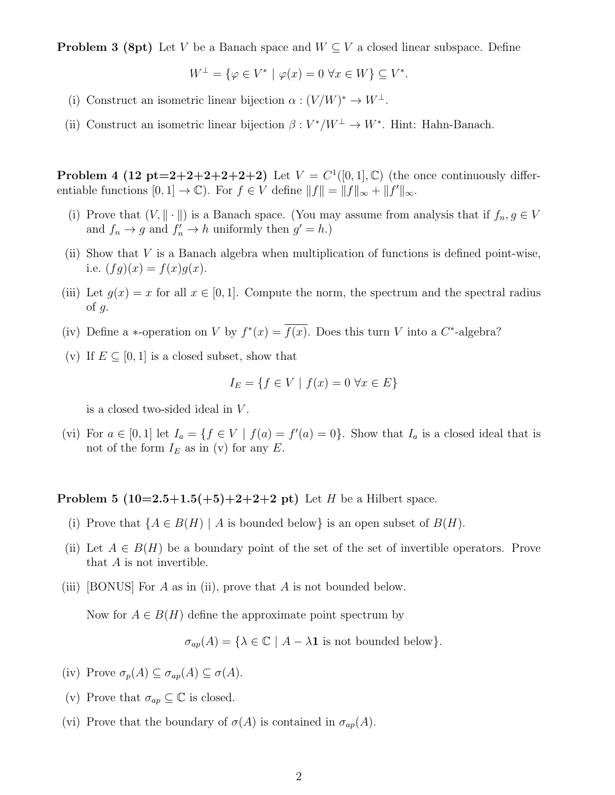**Problem 3 (8pt)** Let V be a Banach space and  $W \subseteq V$  a closed linear subspace. Define

$$
W^{\perp} = \{ \varphi \in V^* \mid \varphi(x) = 0 \,\,\forall x \in W \} \subseteq V^*.
$$

- (i) Construct an isometric linear bijection  $\alpha : (V/W)^* \to W^{\perp}$ .
- (ii) Construct an isometric linear bijection  $\beta: V^*/W^{\perp} \to W^*$ . Hint: Hahn-Banach.

**Problem 4 (12 pt=2+2+2+2+2+2)** Let  $V = C^1([0,1], \mathbb{C})$  (the once continuously differentiable functions  $[0,1] \to \mathbb{C}$ ). For  $f \in V$  define  $||f|| = ||f||_{\infty} + ||f'||_{\infty}$ .

- (i) Prove that  $(V, \|\cdot\|)$  is a Banach space. (You may assume from analysis that if  $f_n, g \in V$ and  $f_n \to g$  and  $f'_n \to h$  uniformly then  $g' = h$ .)
- (ii) Show that V is a Banach algebra when multiplication of functions is defined point-wise, i.e.  $(fg)(x) = f(x)g(x)$ .
- (iii) Let  $g(x) = x$  for all  $x \in [0, 1]$ . Compute the norm, the spectrum and the spectral radius of  $q$ .
- (iv) Define a \*-operation on V by  $f^*(x) = \overline{f(x)}$ . Does this turn V into a C\*-algebra?
- (v) If  $E \subseteq [0, 1]$  is a closed subset, show that

$$
I_E = \{ f \in V \mid f(x) = 0 \,\,\forall x \in E \}
$$

is a closed two-sided ideal in V .

(vi) For  $a \in [0,1]$  let  $I_a = \{f \in V \mid f(a) = f'(a) = 0\}$ . Show that  $I_a$  is a closed ideal that is not of the form  $I_E$  as in (v) for any E.

**Problem 5 (10=2.5+1.5(+5)+2+2+2 pt)** Let *H* be a Hilbert space.

- (i) Prove that  $\{A \in B(H) \mid A \text{ is bounded below}\}\$ is an open subset of  $B(H)$ .
- (ii) Let  $A \in B(H)$  be a boundary point of the set of the set of invertible operators. Prove that  $A$  is not invertible.
- (iii) [BONUS] For  $A$  as in (ii), prove that  $A$  is not bounded below.

Now for  $A \in B(H)$  define the approximate point spectrum by

 $\sigma_{ap}(A) = {\lambda \in \mathbb{C} \mid A - \lambda \mathbf{1} \text{ is not bounded below}}.$ 

- (iv) Prove  $\sigma_p(A) \subseteq \sigma_{ap}(A) \subseteq \sigma(A)$ .
- (v) Prove that  $\sigma_{ap} \subseteq \mathbb{C}$  is closed.
- (vi) Prove that the boundary of  $\sigma(A)$  is contained in  $\sigma_{ap}(A)$ .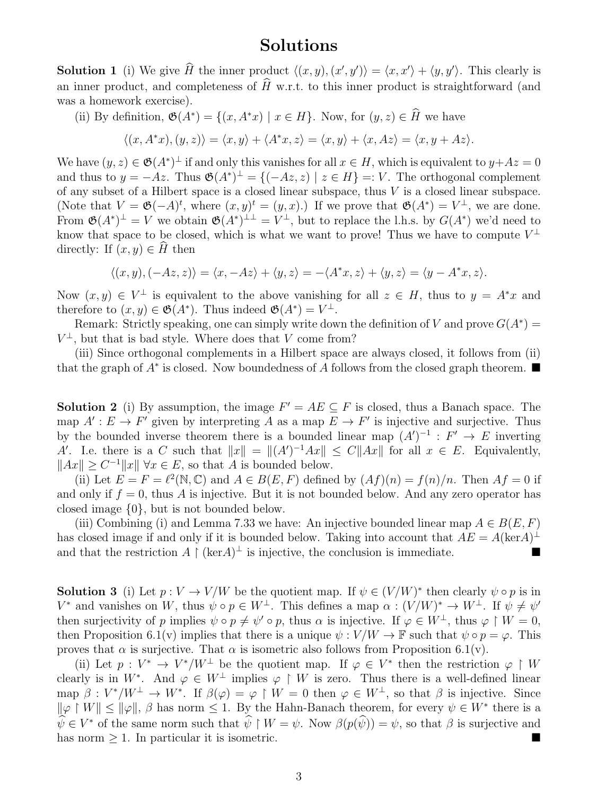## Solutions

**Solution 1** (i) We give  $\hat{H}$  the inner product  $\langle (x, y), (x', y') \rangle = \langle x, x' \rangle + \langle y, y' \rangle$ . This clearly is an inner product, and completeness of  $\widehat{H}$  w.r.t. to this inner product is straightforward (and was a homework exercise).

(ii) By definition,  $\mathfrak{G}(A^*) = \{(x, A^*x) \mid x \in H\}$ . Now, for  $(y, z) \in \hat{H}$  we have

$$
\langle (x, A^*x), (y, z) \rangle = \langle x, y \rangle + \langle A^*x, z \rangle = \langle x, y \rangle + \langle x, Az \rangle = \langle x, y + Az \rangle.
$$

We have  $(y, z) \in \mathfrak{G}(A^*)^{\perp}$  if and only this vanishes for all  $x \in H$ , which is equivalent to  $y + Az = 0$ and thus to  $y = -Az$ . Thus  $\mathfrak{G}(A^*)^{\perp} = \{(-Az, z) \mid z \in H\} =: V$ . The orthogonal complement of any subset of a Hilbert space is a closed linear subspace, thus  $V$  is a closed linear subspace. (Note that  $V = \mathfrak{G}(-A)^t$ , where  $(x, y)^t = (y, x)$ .) If we prove that  $\mathfrak{G}(A^*) = V^{\perp}$ , we are done. From  $\mathfrak{G}(A^*)^{\perp} = V$  we obtain  $\mathfrak{G}(A^*)^{\perp \perp} = V^{\perp}$ , but to replace the l.h.s. by  $G(A^*)$  we'd need to know that space to be closed, which is what we want to prove! Thus we have to compute  $V^{\perp}$ directly: If  $(x, y) \in H$  then

$$
\langle (x,y), (-Az,z) \rangle = \langle x, -Az \rangle + \langle y, z \rangle = -\langle A^*x, z \rangle + \langle y, z \rangle = \langle y - A^*x, z \rangle.
$$

Now  $(x, y) \in V^{\perp}$  is equivalent to the above vanishing for all  $z \in H$ , thus to  $y = A^*x$  and therefore to  $(x, y) \in \mathfrak{G}(A^*)$ . Thus indeed  $\mathfrak{G}(A^*) = V^{\perp}$ .

Remark: Strictly speaking, one can simply write down the definition of V and prove  $G(A^*)$  =  $V^{\perp}$ , but that is bad style. Where does that V come from?

(iii) Since orthogonal complements in a Hilbert space are always closed, it follows from (ii) that the graph of  $A^*$  is closed. Now boundedness of A follows from the closed graph theorem.

**Solution 2** (i) By assumption, the image  $F' = AE \subseteq F$  is closed, thus a Banach space. The map  $A': E \to F'$  given by interpreting A as a map  $E \to F'$  is injective and surjective. Thus by the bounded inverse theorem there is a bounded linear map  $(A')^{-1}$  :  $F' \to E$  inverting A'. I.e. there is a C such that  $||x|| = ||(A')^{-1}Ax|| \leq C||Ax||$  for all  $x \in E$ . Equivalently,  $||Ax|| \geq C^{-1}||x|| \forall x \in E$ , so that A is bounded below.

(ii) Let  $E = F = \ell^2(\mathbb{N}, \mathbb{C})$  and  $A \in B(E, F)$  defined by  $(Af)(n) = f(n)/n$ . Then  $Af = 0$  if and only if  $f = 0$ , thus A is injective. But it is not bounded below. And any zero operator has closed image {0}, but is not bounded below.

(iii) Combining (i) and Lemma 7.33 we have: An injective bounded linear map  $A \in B(E, F)$ has closed image if and only if it is bounded below. Taking into account that  $AE = A(\text{ker}A)^{\perp}$ and that the restriction  $A \restriction (\ker A)^{\perp}$  is injective, the conclusion is immediate.

**Solution 3** (i) Let  $p: V \to V/W$  be the quotient map. If  $\psi \in (V/W)^*$  then clearly  $\psi \circ p$  is in  $V^*$  and vanishes on W, thus  $\psi \circ p \in W^{\perp}$ . This defines a map  $\alpha : (V/W)^* \to W^{\perp}$ . If  $\psi \neq \psi'$ then surjectivity of p implies  $\psi \circ p \neq \psi' \circ p$ , thus  $\alpha$  is injective. If  $\varphi \in W^{\perp}$ , thus  $\varphi \upharpoonright W = 0$ , then Proposition 6.1(v) implies that there is a unique  $\psi: V/W \to \mathbb{F}$  such that  $\psi \circ p = \varphi$ . This proves that  $\alpha$  is surjective. That  $\alpha$  is isometric also follows from Proposition 6.1(v).

(ii) Let  $p: V^* \to V^*/W^{\perp}$  be the quotient map. If  $\varphi \in V^*$  then the restriction  $\varphi \restriction W$ clearly is in W<sup>\*</sup>. And  $\varphi \in W^{\perp}$  implies  $\varphi \restriction W$  is zero. Thus there is a well-defined linear map  $\beta: V^*/W^{\perp} \to W^*$ . If  $\beta(\varphi) = \varphi \upharpoonright W = 0$  then  $\varphi \in W^{\perp}$ , so that  $\beta$  is injective. Since  $\|\varphi\| W\| \le \|\varphi\|$ ,  $\beta$  has norm  $\le 1$ . By the Hahn-Banach theorem, for every  $\psi \in W^*$  there is a  $\widehat{\psi} \in V^*$  of the same norm such that  $\widehat{\psi} \restriction W = \psi$ . Now  $\beta(p(\widehat{\psi})) = \psi$ , so that  $\beta$  is surjective and has norm  $\geq 1$ . In particular it is isometric.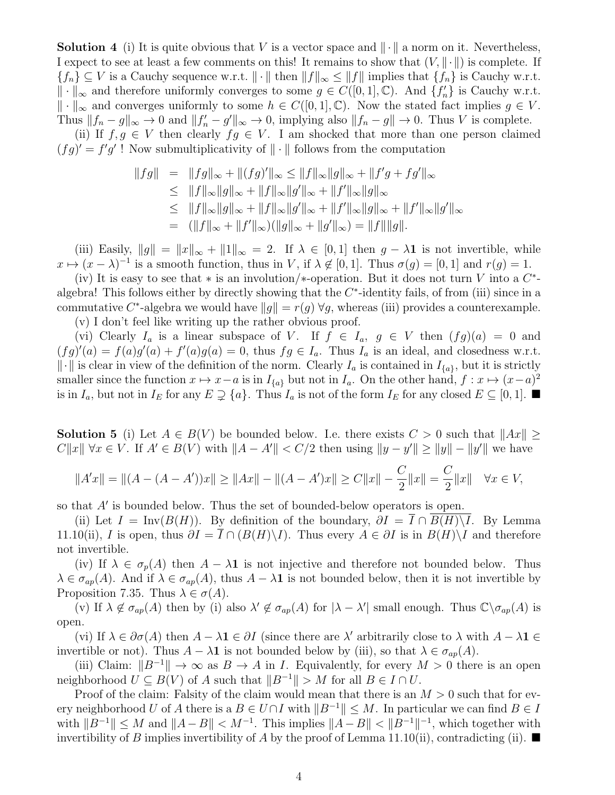**Solution 4** (i) It is quite obvious that V is a vector space and  $\|\cdot\|$  a norm on it. Nevertheless, I expect to see at least a few comments on this! It remains to show that  $(V, \|\cdot\|)$  is complete. If  ${f_n} \subseteq V$  is a Cauchy sequence w.r.t.  $\|\cdot\|$  then  $\|f\|_{\infty} \le \|f\|$  implies that  ${f_n}$  is Cauchy w.r.t.  $\|\cdot\|_{\infty}$  and therefore uniformly converges to some  $g \in C([0,1],\mathbb{C})$ . And  $\{f'_n\}$  is Cauchy w.r.t.  $\|\cdot\|_{\infty}$  and converges uniformly to some  $h \in C([0,1], \mathbb{C})$ . Now the stated fact implies  $g \in V$ . Thus  $||f_n - g||_{\infty} \to 0$  and  $||f'_n - g'||_{\infty} \to 0$ , implying also  $||f_n - g|| \to 0$ . Thus V is complete.

(ii) If  $f, g \in V$  then clearly  $fg \in V$ . I am shocked that more than one person claimed  $(fg)' = f'g'$ ! Now submultiplicativity of  $\|\cdot\|$  follows from the computation

$$
||fg|| = ||fg||_{\infty} + ||(fg)'||_{\infty} \le ||f||_{\infty} ||g||_{\infty} + ||f'g + fg'||_{\infty}
$$
  
\n
$$
\le ||f||_{\infty} ||g||_{\infty} + ||f||_{\infty} ||g'||_{\infty} + ||f'||_{\infty} ||g||_{\infty}
$$
  
\n
$$
\le ||f||_{\infty} ||g||_{\infty} + ||f||_{\infty} ||g'||_{\infty} + ||f'||_{\infty} ||g||_{\infty} + ||f'||_{\infty} ||g'||_{\infty}
$$
  
\n
$$
= (||f||_{\infty} + ||f'||_{\infty}) (||g||_{\infty} + ||g'||_{\infty}) = ||f|| ||g||.
$$

(iii) Easily,  $||g|| = ||x||_{\infty} + ||1||_{\infty} = 2$ . If  $\lambda \in [0, 1]$  then  $g - \lambda \mathbf{1}$  is not invertible, while  $x \mapsto (x - \lambda)^{-1}$  is a smooth function, thus in V, if  $\lambda \notin [0, 1]$ . Thus  $\sigma(g) = [0, 1]$  and  $r(g) = 1$ .

(iv) It is easy to see that \* is an involution/\*-operation. But it does not turn V into a  $C^*$ algebra! This follows either by directly showing that the  $C^*$ -identity fails, of from (iii) since in a commutative C<sup>\*</sup>-algebra we would have  $||g|| = r(g) \forall g$ , whereas (iii) provides a counterexample. (v) I don't feel like writing up the rather obvious proof.

(vi) Clearly  $I_a$  is a linear subspace of V. If  $f \in I_a$ ,  $g \in V$  then  $(fg)(a) = 0$  and  $(fg)'(a) = f(a)g'(a) + f'(a)g(a) = 0$ , thus  $fg \in I_a$ . Thus  $I_a$  is an ideal, and closedness w.r.t.  $\|\cdot\|$  is clear in view of the definition of the norm. Clearly  $I_a$  is contained in  $I_{\{a\}}$ , but it is strictly smaller since the function  $x \mapsto x-a$  is in  $I_{\{a\}}$  but not in  $I_a$ . On the other hand,  $f : x \mapsto (x-a)^2$ is in  $I_a$ , but not in  $I_E$  for any  $E \supsetneq \{a\}$ . Thus  $I_a$  is not of the form  $I_E$  for any closed  $E \subseteq [0,1]$ .

**Solution 5** (i) Let  $A \in B(V)$  be bounded below. I.e. there exists  $C > 0$  such that  $||Ax|| \ge$  $C||x|| \forall x \in V$ . If  $A' \in B(V)$  with  $||A - A'|| < C/2$  then using  $||y - y'|| \ge ||y|| - ||y'||$  we have

$$
||A'x|| = ||(A - (A - A'))x|| \ge ||Ax|| - ||(A - A')x|| \ge C||x|| - \frac{C}{2}||x|| = \frac{C}{2}||x|| \quad \forall x \in V,
$$

so that  $A'$  is bounded below. Thus the set of bounded-below operators is open.

(ii) Let  $I = Inv(B(H))$ . By definition of the boundary,  $\partial I = \overline{I} \cap B(H) \backslash I$ . By Lemma 11.10(ii), I is open, thus  $\partial I = I \cap (B(H)\backslash I)$ . Thus every  $A \in \partial I$  is in  $B(H)\backslash I$  and therefore not invertible.

(iv) If  $\lambda \in \sigma_p(A)$  then  $A - \lambda \mathbf{1}$  is not injective and therefore not bounded below. Thus  $\lambda \in \sigma_{ap}(A)$ . And if  $\lambda \in \sigma_{ap}(A)$ , thus  $A - \lambda \mathbf{1}$  is not bounded below, then it is not invertible by Proposition 7.35. Thus  $\lambda \in \sigma(A)$ .

(v) If  $\lambda \notin \sigma_{ap}(A)$  then by (i) also  $\lambda' \notin \sigma_{ap}(A)$  for  $|\lambda - \lambda'|$  small enough. Thus  $\mathbb{C} \setminus \sigma_{ap}(A)$  is open.

(vi) If  $\lambda \in \partial \sigma(A)$  then  $A - \lambda \mathbf{1} \in \partial I$  (since there are  $\lambda'$  arbitrarily close to  $\lambda$  with  $A - \lambda \mathbf{1} \in$ invertible or not). Thus  $A - \lambda \mathbf{1}$  is not bounded below by (iii), so that  $\lambda \in \sigma_{ap}(A)$ .

(iii) Claim:  $||B^{-1}|| \to \infty$  as  $B \to A$  in *I*. Equivalently, for every  $M > 0$  there is an open neighborhood  $U \subseteq B(V)$  of A such that  $||B^{-1}|| > M$  for all  $B \in I \cap U$ .

Proof of the claim: Falsity of the claim would mean that there is an  $M > 0$  such that for every neighborhood U of A there is a  $B \in U \cap I$  with  $||B^{-1}|| \leq M$ . In particular we can find  $B \in I$ with  $||B^{-1}|| \leq M$  and  $||A - B|| < M^{-1}$ . This implies  $||A - B|| < ||B^{-1}||^{-1}$ , which together with invertibility of B implies invertibility of A by the proof of Lemma 11.10(ii), contradicting (ii).